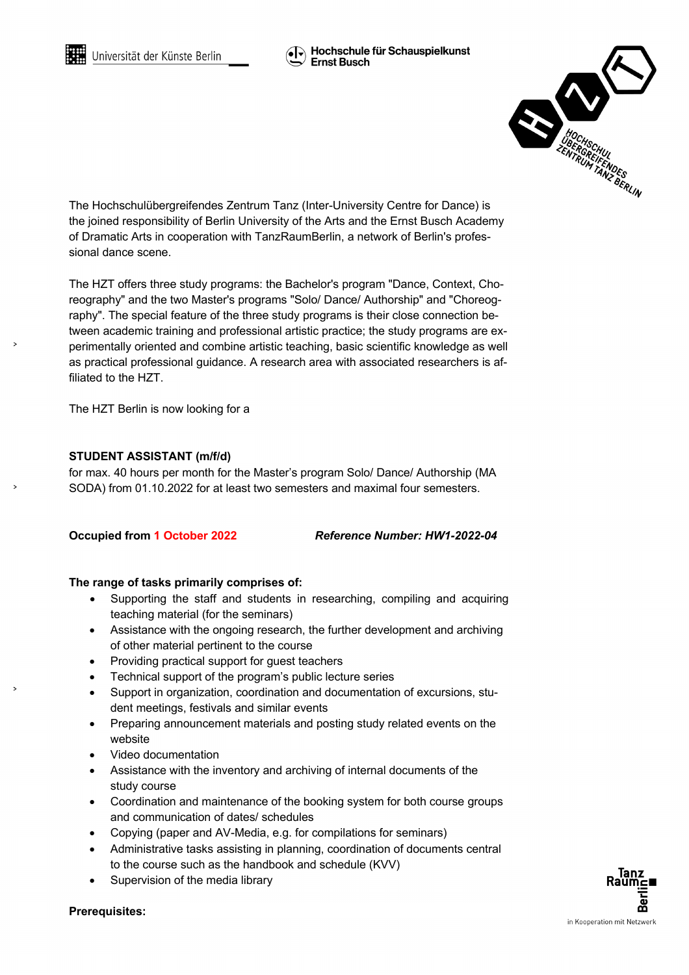

The Hochschulübergreifendes Zentrum Tanz (Inter-University Centre for Dance) is the joined responsibility of Berlin University of the Arts and the Ernst Busch Academy of Dramatic Arts in cooperation with TanzRaumBerlin, a network of Berlin's professional dance scene.

The HZT offers three study programs: the Bachelor's program "Dance, Context, Choreography" and the two Master's programs "Solo/ Dance/ Authorship" and "Choreography". The special feature of the three study programs is their close connection between academic training and professional artistic practice; the study programs are experimentally oriented and combine artistic teaching, basic scientific knowledge as well as practical professional guidance. A research area with associated researchers is affiliated to the HZT.

The HZT Berlin is now looking for a

## **STUDENT ASSISTANT (m/f/d)**

for max. 40 hours per month for the Master's program Solo/ Dance/ Authorship (MA SODA) from 01.10.2022 for at least two semesters and maximal four semesters.

**Occupied from 1 October 2022** *Reference Number: HW1-2022-04*

## **The range of tasks primarily comprises of:**

- Supporting the staff and students in researching, compiling and acquiring teaching material (for the seminars)
- Assistance with the ongoing research, the further development and archiving of other material pertinent to the course
- Providing practical support for guest teachers
- Technical support of the program's public lecture series
- Support in organization, coordination and documentation of excursions, student meetings, festivals and similar events
- Preparing announcement materials and posting study related events on the website
- Video documentation
- Assistance with the inventory and archiving of internal documents of the study course
- Coordination and maintenance of the booking system for both course groups and communication of dates/ schedules
- Copying (paper and AV-Media, e.g. for compilations for seminars)
- Administrative tasks assisting in planning, coordination of documents central to the course such as the handbook and schedule (KVV)
- Supervision of the media library

**Prerequisites:**